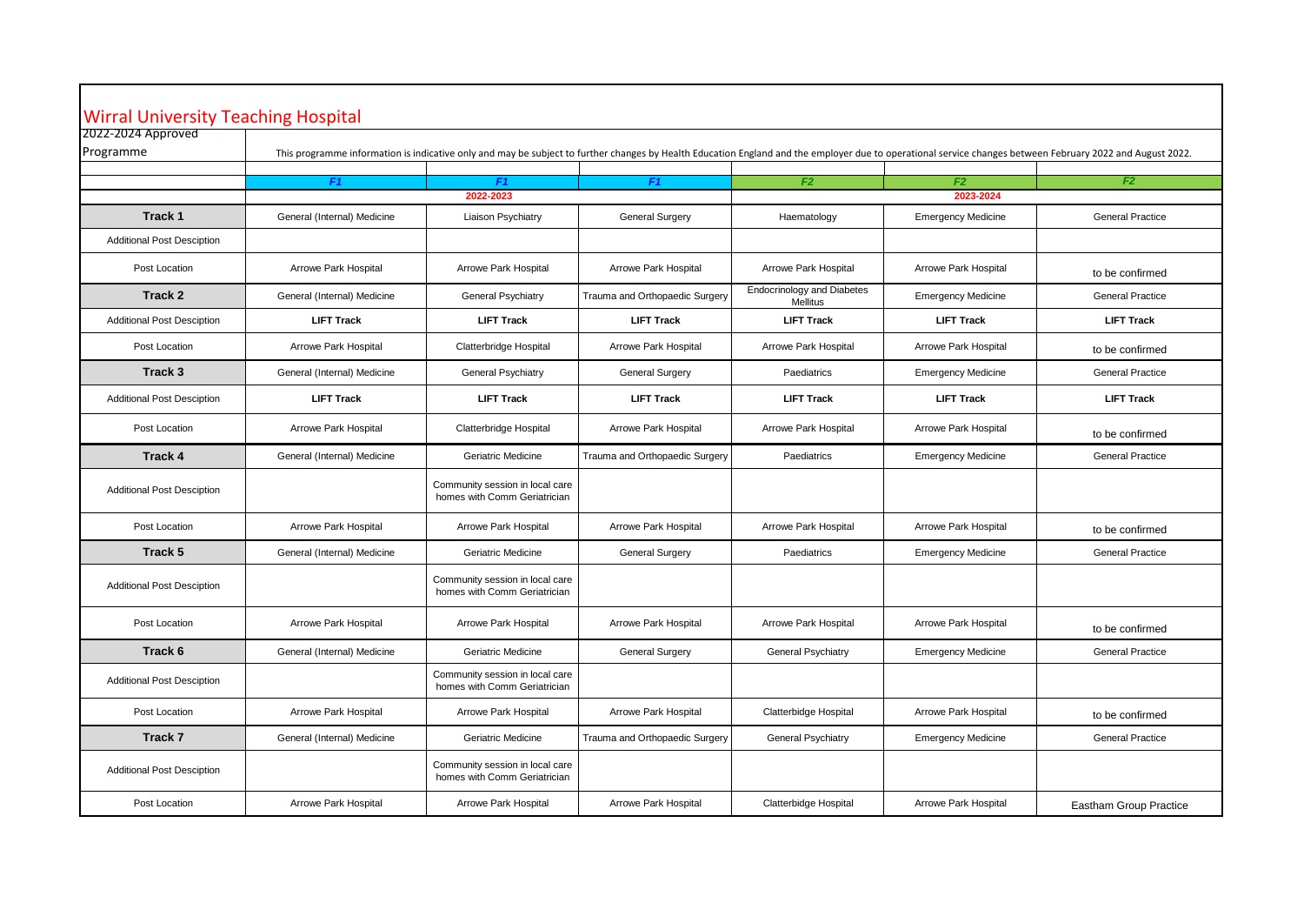## Wirral University Teaching Hospital

| 2022-2024 Approved                |                                                                                                                                                                                                            |                                                                 |                                |                                               |                             |                               |
|-----------------------------------|------------------------------------------------------------------------------------------------------------------------------------------------------------------------------------------------------------|-----------------------------------------------------------------|--------------------------------|-----------------------------------------------|-----------------------------|-------------------------------|
| Programme                         | This programme information is indicative only and may be subject to further changes by Health Education England and the employer due to operational service changes between February 2022 and August 2022. |                                                                 |                                |                                               |                             |                               |
|                                   | F <sub>1</sub>                                                                                                                                                                                             | F <sub>1</sub>                                                  | F1                             | F2                                            | F2                          | F <sub>2</sub>                |
|                                   |                                                                                                                                                                                                            | 2022-2023                                                       |                                |                                               | 2023-2024                   |                               |
| Track 1                           | General (Internal) Medicine                                                                                                                                                                                | Liaison Psychiatry                                              | General Surgery                | Haematology                                   | <b>Emergency Medicine</b>   | <b>General Practice</b>       |
| <b>Additional Post Desciption</b> |                                                                                                                                                                                                            |                                                                 |                                |                                               |                             |                               |
| Post Location                     | Arrowe Park Hospital                                                                                                                                                                                       | Arrowe Park Hospital                                            | Arrowe Park Hospital           | Arrowe Park Hospital                          | Arrowe Park Hospital        | to be confirmed               |
| Track 2                           | General (Internal) Medicine                                                                                                                                                                                | General Psychiatry                                              | Trauma and Orthopaedic Surgery | <b>Endocrinology and Diabetes</b><br>Mellitus | <b>Emergency Medicine</b>   | <b>General Practice</b>       |
| <b>Additional Post Desciption</b> | <b>LIFT Track</b>                                                                                                                                                                                          | <b>LIFT Track</b>                                               | <b>LIFT Track</b>              | <b>LIFT Track</b>                             | <b>LIFT Track</b>           | <b>LIFT Track</b>             |
| Post Location                     | Arrowe Park Hospital                                                                                                                                                                                       | Clatterbridge Hospital                                          | Arrowe Park Hospital           | Arrowe Park Hospital                          | Arrowe Park Hospital        | to be confirmed               |
| Track 3                           | General (Internal) Medicine                                                                                                                                                                                | General Psychiatry                                              | General Surgery                | Paediatrics                                   | <b>Emergency Medicine</b>   | <b>General Practice</b>       |
| <b>Additional Post Desciption</b> | <b>LIFT Track</b>                                                                                                                                                                                          | <b>LIFT Track</b>                                               | <b>LIFT Track</b>              | <b>LIFT Track</b>                             | <b>LIFT Track</b>           | <b>LIFT Track</b>             |
| Post Location                     | <b>Arrowe Park Hospital</b>                                                                                                                                                                                | Clatterbridge Hospital                                          | Arrowe Park Hospital           | Arrowe Park Hospital                          | Arrowe Park Hospital        | to be confirmed               |
| Track 4                           | General (Internal) Medicine                                                                                                                                                                                | Geriatric Medicine                                              | Trauma and Orthopaedic Surgery | Paediatrics                                   | <b>Emergency Medicine</b>   | <b>General Practice</b>       |
| <b>Additional Post Desciption</b> |                                                                                                                                                                                                            | Community session in local care<br>homes with Comm Geriatrician |                                |                                               |                             |                               |
| Post Location                     | Arrowe Park Hospital                                                                                                                                                                                       | Arrowe Park Hospital                                            | Arrowe Park Hospital           | Arrowe Park Hospital                          | Arrowe Park Hospital        | to be confirmed               |
| Track 5                           | General (Internal) Medicine                                                                                                                                                                                | Geriatric Medicine                                              | General Surgery                | Paediatrics                                   | <b>Emergency Medicine</b>   | <b>General Practice</b>       |
| <b>Additional Post Desciption</b> |                                                                                                                                                                                                            | Community session in local care<br>homes with Comm Geriatrician |                                |                                               |                             |                               |
| Post Location                     | Arrowe Park Hospital                                                                                                                                                                                       | Arrowe Park Hospital                                            | Arrowe Park Hospital           | Arrowe Park Hospital                          | Arrowe Park Hospital        | to be confirmed               |
| Track 6                           | General (Internal) Medicine                                                                                                                                                                                | Geriatric Medicine                                              | General Surgery                | <b>General Psychiatry</b>                     | <b>Emergency Medicine</b>   | <b>General Practice</b>       |
| <b>Additional Post Desciption</b> |                                                                                                                                                                                                            | Community session in local care<br>homes with Comm Geriatrician |                                |                                               |                             |                               |
| Post Location                     | <b>Arrowe Park Hospital</b>                                                                                                                                                                                | <b>Arrowe Park Hospital</b>                                     | Arrowe Park Hospital           | Clatterbidge Hospital                         | Arrowe Park Hospital        | to be confirmed               |
| Track 7                           | General (Internal) Medicine                                                                                                                                                                                | <b>Geriatric Medicine</b>                                       | Trauma and Orthopaedic Surgery | General Psychiatry                            | <b>Emergency Medicine</b>   | <b>General Practice</b>       |
| <b>Additional Post Desciption</b> |                                                                                                                                                                                                            | Community session in local care<br>homes with Comm Geriatrician |                                |                                               |                             |                               |
| Post Location                     | <b>Arrowe Park Hospital</b>                                                                                                                                                                                | Arrowe Park Hospital                                            | Arrowe Park Hospital           | Clatterbidge Hospital                         | <b>Arrowe Park Hospital</b> | <b>Eastham Group Practice</b> |